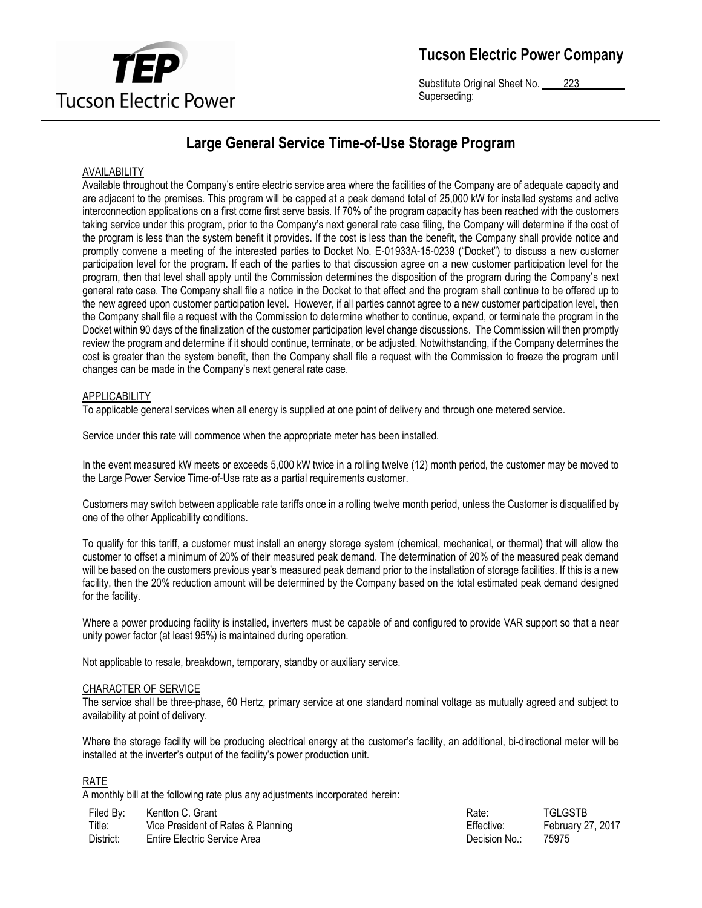

Substitute Original Sheet No. 223 Superseding:

# **Large General Service Time-of-Use Storage Program**

## AVAILABILITY

Available throughout the Company's entire electric service area where the facilities of the Company are of adequate capacity and are adjacent to the premises. This program will be capped at a peak demand total of 25,000 kW for installed systems and active interconnection applications on a first come first serve basis. If 70% of the program capacity has been reached with the customers taking service under this program, prior to the Company's next general rate case filing, the Company will determine if the cost of the program is less than the system benefit it provides. If the cost is less than the benefit, the Company shall provide notice and promptly convene a meeting of the interested parties to Docket No. E-01933A-15-0239 ("Docket") to discuss a new customer participation level for the program. If each of the parties to that discussion agree on a new customer participation level for the program, then that level shall apply until the Commission determines the disposition of the program during the Company's next general rate case. The Company shall file a notice in the Docket to that effect and the program shall continue to be offered up to the new agreed upon customer participation level. However, if all parties cannot agree to a new customer participation level, then the Company shall file a request with the Commission to determine whether to continue, expand, or terminate the program in the Docket within 90 days of the finalization of the customer participation level change discussions. The Commission will then promptly review the program and determine if it should continue, terminate, or be adjusted. Notwithstanding, if the Company determines the cost is greater than the system benefit, then the Company shall file a request with the Commission to freeze the program until changes can be made in the Company's next general rate case.

#### **APPLICABILITY**

To applicable general services when all energy is supplied at one point of delivery and through one metered service.

Service under this rate will commence when the appropriate meter has been installed.

In the event measured kW meets or exceeds 5,000 kW twice in a rolling twelve (12) month period, the customer may be moved to the Large Power Service Time-of-Use rate as a partial requirements customer.

Customers may switch between applicable rate tariffs once in a rolling twelve month period, unless the Customer is disqualified by one of the other Applicability conditions.

To qualify for this tariff, a customer must install an energy storage system (chemical, mechanical, or thermal) that will allow the customer to offset a minimum of 20% of their measured peak demand. The determination of 20% of the measured peak demand will be based on the customers previous year's measured peak demand prior to the installation of storage facilities. If this is a new facility, then the 20% reduction amount will be determined by the Company based on the total estimated peak demand designed for the facility.

Where a power producing facility is installed, inverters must be capable of and configured to provide VAR support so that a near unity power factor (at least 95%) is maintained during operation.

Not applicable to resale, breakdown, temporary, standby or auxiliary service.

#### CHARACTER OF SERVICE

The service shall be three-phase, 60 Hertz, primary service at one standard nominal voltage as mutually agreed and subject to availability at point of delivery.

Where the storage facility will be producing electrical energy at the customer's facility, an additional, bi-directional meter will be installed at the inverter's output of the facility's power production unit.

## RATE

A monthly bill at the following rate plus any adjustments incorporated herein:

| Filed By: | Kentton C. Grant                   | Rate          | TGLGSTB           |
|-----------|------------------------------------|---------------|-------------------|
| Title:    | Vice President of Rates & Planning | Effective:    | February 27, 2017 |
| District: | Entire Electric Service Area       | Decision No.: | 75975             |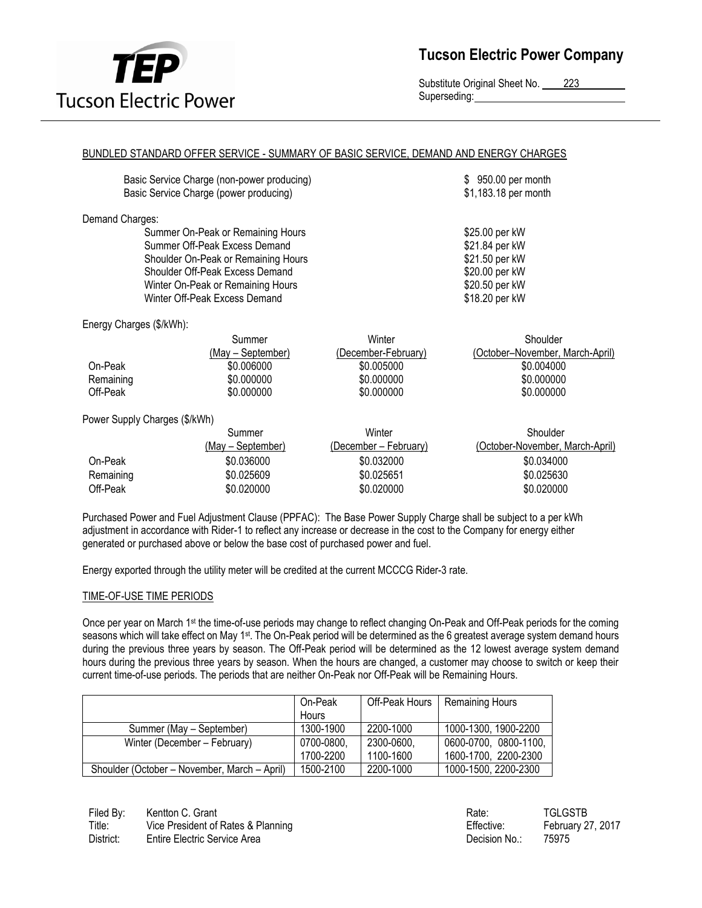

Substitute Original Sheet No. 223 Superseding:

## BUNDLED STANDARD OFFER SERVICE - SUMMARY OF BASIC SERVICE, DEMAND AND ENERGY CHARGES

| Basic Service Charge (non-power producing) | \$950.00 per month   |
|--------------------------------------------|----------------------|
| Basic Service Charge (power producing)     | \$1,183.18 per month |
|                                            |                      |

Demand Charges:

Summer On-Peak or Remaining Hours **\$25.00 per kW** Summer Off-Peak Excess Demand \$21.84 per kW Shoulder On-Peak or Remaining Hours<br>
Shoulder Off-Peak Excess Demand<br>
\$20.00 per kW Shoulder Off-Peak Excess Demand Winter On-Peak or Remaining Hours **\$20.50 per kW** Winter Off-Peak Excess Demand \$18.20 per kW

Energy Charges (\$/kWh):

|           | Summer            | Winter              | Shoulder                        |
|-----------|-------------------|---------------------|---------------------------------|
|           | (May – September) | (December-February) | (October–November, March-April) |
| On-Peak   | \$0,006000        | \$0.005000          | \$0.004000                      |
| Remaining | \$0,000000        | \$0,000000          | \$0,000000                      |
| Off-Peak  | \$0,000000        | \$0,000000          | \$0.000000                      |

Power Supply Charges (\$/kWh)

|           | Summer            | Winter                | Shoulder                        |
|-----------|-------------------|-----------------------|---------------------------------|
|           | (May – September) | (December – February) | (October-November, March-April) |
| On-Peak   | \$0.036000        | \$0.032000            | \$0.034000                      |
| Remaining | \$0.025609        | \$0.025651            | \$0.025630                      |
| Off-Peak  | \$0.020000        | \$0.020000            | \$0.020000                      |

Purchased Power and Fuel Adjustment Clause (PPFAC): The Base Power Supply Charge shall be subject to a per kWh adjustment in accordance with Rider-1 to reflect any increase or decrease in the cost to the Company for energy either generated or purchased above or below the base cost of purchased power and fuel.

Energy exported through the utility meter will be credited at the current MCCCG Rider-3 rate.

## TIME-OF-USE TIME PERIODS

Once per year on March 1<sup>st</sup> the time-of-use periods may change to reflect changing On-Peak and Off-Peak periods for the coming seasons which will take effect on May 1<sup>st</sup>. The On-Peak period will be determined as the 6 greatest average system demand hours during the previous three years by season. The Off-Peak period will be determined as the 12 lowest average system demand hours during the previous three years by season. When the hours are changed, a customer may choose to switch or keep their current time-of-use periods. The periods that are neither On-Peak nor Off-Peak will be Remaining Hours.

|                                              | On-Peak      | Off-Peak Hours | <b>Remaining Hours</b> |
|----------------------------------------------|--------------|----------------|------------------------|
|                                              | <b>Hours</b> |                |                        |
| Summer (May - September)                     | 1300-1900    | 2200-1000      | 1000-1300, 1900-2200   |
| Winter (December – February)                 | 0700-0800,   | 2300-0600,     | 0600-0700, 0800-1100,  |
|                                              | 1700-2200    | 1100-1600      | 1600-1700, 2200-2300   |
| Shoulder (October – November, March – April) | 1500-2100    | 2200-1000      | 1000-1500, 2200-2300   |

Filed By: Kentton C. Grant C. Grant C. Communication C. Communication C. Communication C. Communication C. Communication C. Communication C. Communication C. Communication C. Communication C. Communication C. Communication Title: Vice President of Rates & Planning Title: February 27, 2017 District: Entire Electric Service Area **Decision No.: 25975** Decision No.: 25975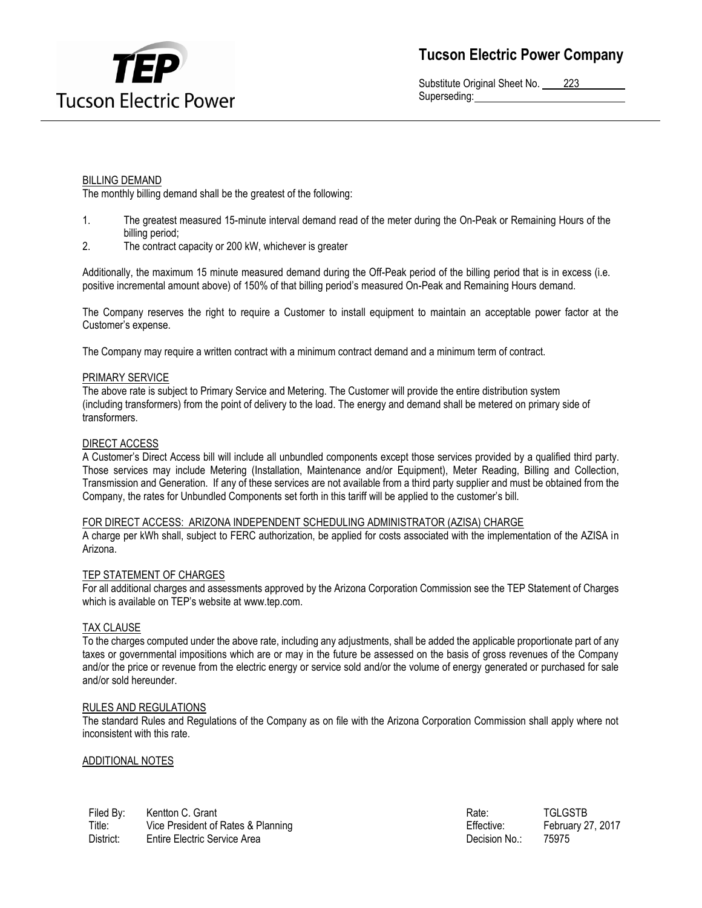

Substitute Original Sheet No. 223 Superseding:

## BILLING DEMAND

The monthly billing demand shall be the greatest of the following:

- 1. The greatest measured 15-minute interval demand read of the meter during the On-Peak or Remaining Hours of the billing period;
- 2. The contract capacity or 200 kW, whichever is greater

Additionally, the maximum 15 minute measured demand during the Off-Peak period of the billing period that is in excess (i.e. positive incremental amount above) of 150% of that billing period's measured On-Peak and Remaining Hours demand.

The Company reserves the right to require a Customer to install equipment to maintain an acceptable power factor at the Customer's expense.

The Company may require a written contract with a minimum contract demand and a minimum term of contract.

#### PRIMARY SERVICE

The above rate is subject to Primary Service and Metering. The Customer will provide the entire distribution system (including transformers) from the point of delivery to the load. The energy and demand shall be metered on primary side of transformers.

#### DIRECT ACCESS

A Customer's Direct Access bill will include all unbundled components except those services provided by a qualified third party. Those services may include Metering (Installation, Maintenance and/or Equipment), Meter Reading, Billing and Collection, Transmission and Generation. If any of these services are not available from a third party supplier and must be obtained from the Company, the rates for Unbundled Components set forth in this tariff will be applied to the customer's bill.

#### FOR DIRECT ACCESS: ARIZONA INDEPENDENT SCHEDULING ADMINISTRATOR (AZISA) CHARGE

A charge per kWh shall, subject to FERC authorization, be applied for costs associated with the implementation of the AZISA in Arizona.

#### TEP STATEMENT OF CHARGES

For all additional charges and assessments approved by the Arizona Corporation Commission see the TEP Statement of Charges which is available on TEP's website at www.tep.com.

## TAX CLAUSE

To the charges computed under the above rate, including any adjustments, shall be added the applicable proportionate part of any taxes or governmental impositions which are or may in the future be assessed on the basis of gross revenues of the Company and/or the price or revenue from the electric energy or service sold and/or the volume of energy generated or purchased for sale and/or sold hereunder.

#### RULES AND REGULATIONS

The standard Rules and Regulations of the Company as on file with the Arizona Corporation Commission shall apply where not inconsistent with this rate.

## ADDITIONAL NOTES

| Filed By: | Kentton C. Grant                   | Rate:         | <b>TGLGSTB</b>    |
|-----------|------------------------------------|---------------|-------------------|
| Title:    | Vice President of Rates & Planning | Effective:    | February 27, 2017 |
| District: | Entire Electric Service Area       | Decision No.: | 75975             |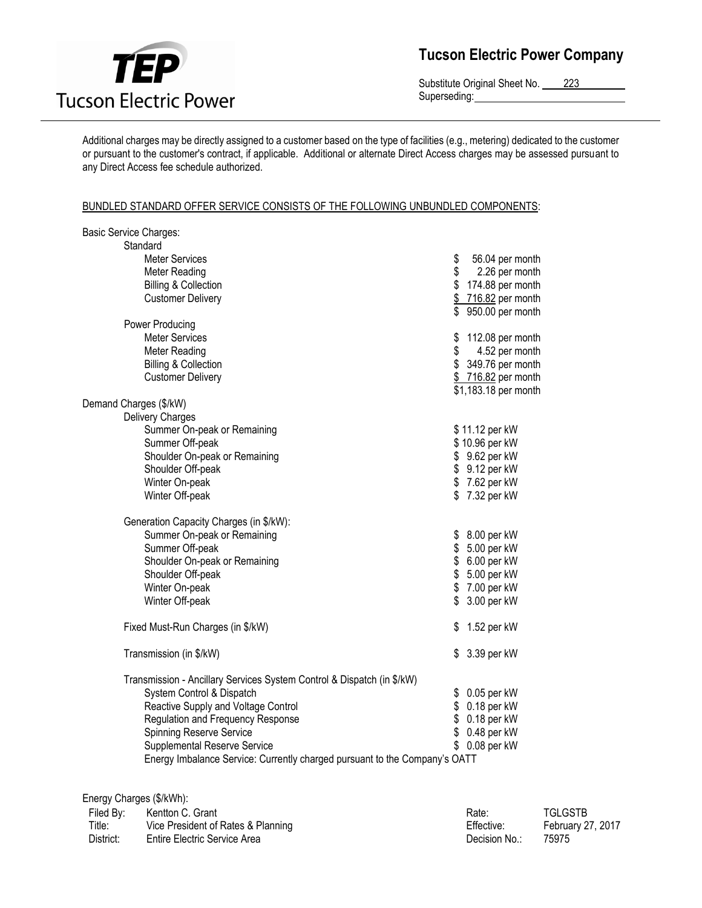

Substitute Original Sheet No. 223 Superseding:

Additional charges may be directly assigned to a customer based on the type of facilities (e.g., metering) dedicated to the customer or pursuant to the customer's contract, if applicable. Additional or alternate Direct Access charges may be assessed pursuant to any Direct Access fee schedule authorized.

## BUNDLED STANDARD OFFER SERVICE CONSISTS OF THE FOLLOWING UNBUNDLED COMPONENTS:

| Basic Service Charges:                                                     |                                            |
|----------------------------------------------------------------------------|--------------------------------------------|
| Standard                                                                   |                                            |
| <b>Meter Services</b>                                                      | \$<br>56.04 per month                      |
| Meter Reading                                                              | \$<br>2.26 per month                       |
| <b>Billing &amp; Collection</b>                                            | \$<br>174.88 per month                     |
| <b>Customer Delivery</b>                                                   | \$<br>716.82 per month<br>950.00 per month |
| Power Producing                                                            |                                            |
| <b>Meter Services</b>                                                      | \$<br>112.08 per month                     |
| Meter Reading                                                              | \$<br>4.52 per month                       |
| <b>Billing &amp; Collection</b>                                            | 349.76 per month                           |
| <b>Customer Delivery</b>                                                   | \$716.82 per month<br>\$1,183.18 per month |
| Demand Charges (\$/kW)                                                     |                                            |
| <b>Delivery Charges</b>                                                    |                                            |
| Summer On-peak or Remaining                                                | \$11.12 per kW                             |
| Summer Off-peak                                                            | \$10.96 per kW                             |
| Shoulder On-peak or Remaining                                              | \$ 9.62 per kW                             |
| Shoulder Off-peak                                                          | \$ 9.12 per kW                             |
| Winter On-peak                                                             | \$7.62 per kW                              |
| Winter Off-peak                                                            | \$7.32 per kW                              |
| Generation Capacity Charges (in \$/kW):                                    |                                            |
| Summer On-peak or Remaining                                                | \$<br>8.00 per kW                          |
| Summer Off-peak                                                            | 5.00 per kW<br>\$                          |
| Shoulder On-peak or Remaining                                              | \$<br>6.00 per kW                          |
| Shoulder Off-peak                                                          | \$<br>5.00 per kW                          |
| Winter On-peak                                                             | \$7.00 per kW                              |
| Winter Off-peak                                                            | \$<br>3.00 per kW                          |
| Fixed Must-Run Charges (in \$/kW)                                          | 1.52 per kW<br>\$                          |
| Transmission (in \$/kW)                                                    | 3.39 per kW<br>\$                          |
| Transmission - Ancillary Services System Control & Dispatch (in \$/kW)     |                                            |
| System Control & Dispatch                                                  | 0.05 per kW<br>\$                          |
| Reactive Supply and Voltage Control                                        | $0.18$ per kW<br>\$                        |
| Regulation and Frequency Response                                          | \$<br>$0.18$ per kW                        |
| <b>Spinning Reserve Service</b>                                            | \$<br>0.48 per kW                          |
| Supplemental Reserve Service                                               | $0.08$ per kW                              |
| Energy Imbalance Service: Currently charged pursuant to the Company's OATT |                                            |

|           | Energy Charges (\$/kWh):           |               |                   |
|-----------|------------------------------------|---------------|-------------------|
| Filed By: | Kentton C. Grant                   | Rate:         | <b>TGLGSTB</b>    |
| Title:    | Vice President of Rates & Planning | Effective:    | February 27, 2017 |
| District: | Entire Electric Service Area       | Decision No.∶ | 75975             |